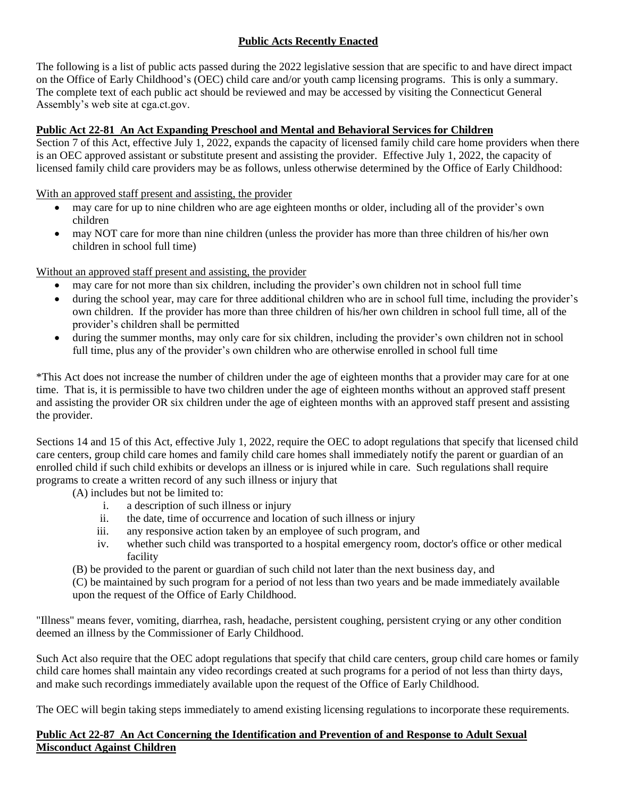## **Public Acts Recently Enacted**

The following is a list of public acts passed during the 2022 legislative session that are specific to and have direct impact on the Office of Early Childhood's (OEC) child care and/or youth camp licensing programs. This is only a summary. The complete text of each public act should be reviewed and may be accessed by visiting the Connecticut General Assembly's web site at cga.ct.gov.

## **Public Act 22-81 An Act Expanding Preschool and Mental and Behavioral Services for Children**

Section 7 of this Act, effective July 1, 2022, expands the capacity of licensed family child care home providers when there is an OEC approved assistant or substitute present and assisting the provider. Effective July 1, 2022, the capacity of licensed family child care providers may be as follows, unless otherwise determined by the Office of Early Childhood:

With an approved staff present and assisting, the provider

- may care for up to nine children who are age eighteen months or older, including all of the provider's own children
- may NOT care for more than nine children (unless the provider has more than three children of his/her own children in school full time)

Without an approved staff present and assisting, the provider

- may care for not more than six children, including the provider's own children not in school full time
- during the school year, may care for three additional children who are in school full time, including the provider's own children. If the provider has more than three children of his/her own children in school full time, all of the provider's children shall be permitted
- during the summer months, may only care for six children, including the provider's own children not in school full time, plus any of the provider's own children who are otherwise enrolled in school full time

\*This Act does not increase the number of children under the age of eighteen months that a provider may care for at one time. That is, it is permissible to have two children under the age of eighteen months without an approved staff present and assisting the provider OR six children under the age of eighteen months with an approved staff present and assisting the provider.

Sections 14 and 15 of this Act, effective July 1, 2022, require the OEC to adopt regulations that specify that licensed child care centers, group child care homes and family child care homes shall immediately notify the parent or guardian of an enrolled child if such child exhibits or develops an illness or is injured while in care. Such regulations shall require programs to create a written record of any such illness or injury that

- (A) includes but not be limited to:
	- i. a description of such illness or injury
	- ii. the date, time of occurrence and location of such illness or injury
	- iii. any responsive action taken by an employee of such program, and
	- iv. whether such child was transported to a hospital emergency room, doctor's office or other medical facility
- (B) be provided to the parent or guardian of such child not later than the next business day, and

(C) be maintained by such program for a period of not less than two years and be made immediately available upon the request of the Office of Early Childhood.

"Illness" means fever, vomiting, diarrhea, rash, headache, persistent coughing, persistent crying or any other condition deemed an illness by the Commissioner of Early Childhood.

Such Act also require that the OEC adopt regulations that specify that child care centers, group child care homes or family child care homes shall maintain any video recordings created at such programs for a period of not less than thirty days, and make such recordings immediately available upon the request of the Office of Early Childhood.

The OEC will begin taking steps immediately to amend existing licensing regulations to incorporate these requirements.

## **Public Act 22-87 An Act Concerning the Identification and Prevention of and Response to Adult Sexual Misconduct Against Children**